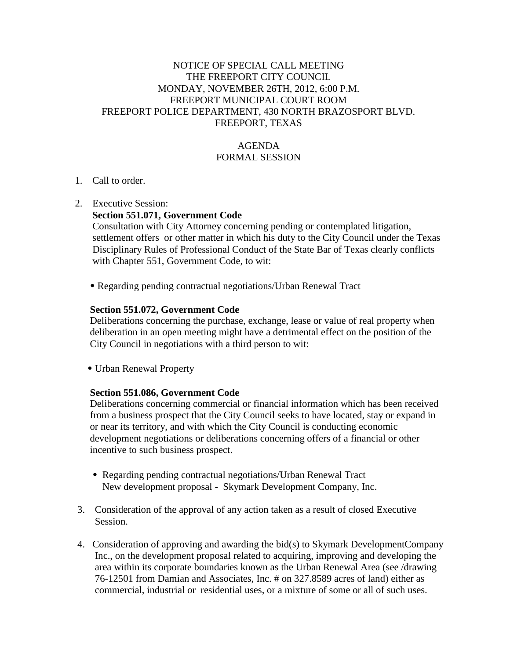# NOTICE OF SPECIAL CALL MEETING THE FREEPORT CITY COUNCIL MONDAY, NOVEMBER 26TH, 2012, 6:00 P.M. FREEPORT MUNICIPAL COURT ROOM FREEPORT POLICE DEPARTMENT, 430 NORTH BRAZOSPORT BLVD. FREEPORT, TEXAS

# AGENDA FORMAL SESSION

## 1. Call to order.

2. Executive Session:

## **Section 551.071, Government Code**

 Consultation with City Attorney concerning pending or contemplated litigation, settlement offers or other matter in which his duty to the City Council under the Texas Disciplinary Rules of Professional Conduct of the State Bar of Texas clearly conflicts with Chapter 551, Government Code, to wit:

• Regarding pending contractual negotiations/Urban Renewal Tract

#### **Section 551.072, Government Code**

 Deliberations concerning the purchase, exchange, lease or value of real property when deliberation in an open meeting might have a detrimental effect on the position of the City Council in negotiations with a third person to wit:

• Urban Renewal Property

#### **Section 551.086, Government Code**

 Deliberations concerning commercial or financial information which has been received from a business prospect that the City Council seeks to have located, stay or expand in or near its territory, and with which the City Council is conducting economic development negotiations or deliberations concerning offers of a financial or other incentive to such business prospect.

- Regarding pending contractual negotiations/Urban Renewal Tract New development proposal - Skymark Development Company, Inc.
- 3. Consideration of the approval of any action taken as a result of closed Executive Session.
- 4. Consideration of approving and awarding the bid(s) to Skymark DevelopmentCompany Inc., on the development proposal related to acquiring, improving and developing the area within its corporate boundaries known as the Urban Renewal Area (see /drawing 76-12501 from Damian and Associates, Inc. # on 327.8589 acres of land) either as commercial, industrial or residential uses, or a mixture of some or all of such uses.